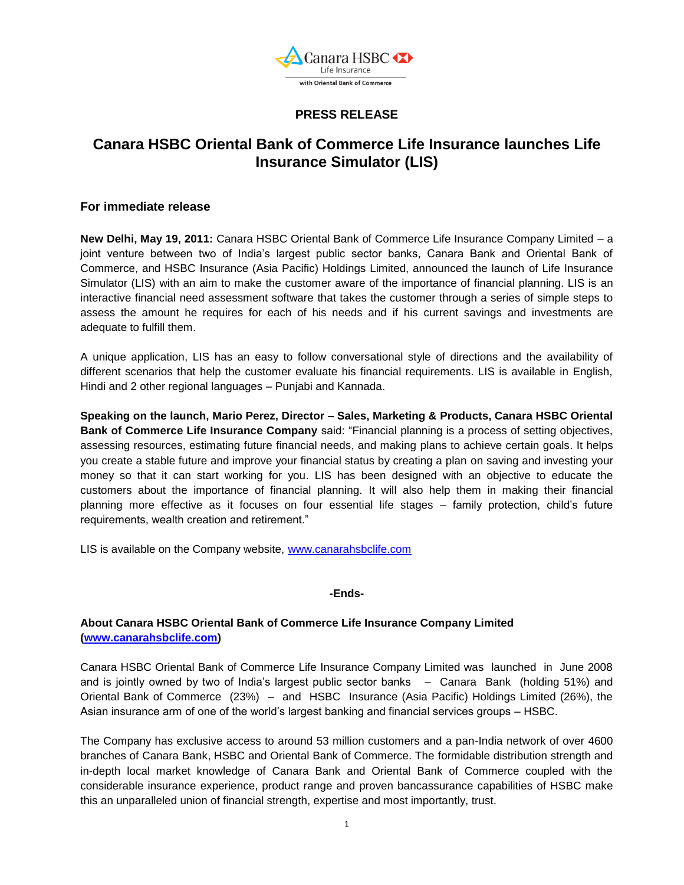

## **PRESS RELEASE**

# **Canara HSBC Oriental Bank of Commerce Life Insurance launches Life Insurance Simulator (LIS)**

### **For immediate release**

**New Delhi, May 19, 2011:** Canara HSBC Oriental Bank of Commerce Life Insurance Company Limited – a joint venture between two of India's largest public sector banks, Canara Bank and Oriental Bank of Commerce, and HSBC Insurance (Asia Pacific) Holdings Limited, announced the launch of Life Insurance Simulator (LIS) with an aim to make the customer aware of the importance of financial planning. LIS is an interactive financial need assessment software that takes the customer through a series of simple steps to assess the amount he requires for each of his needs and if his current savings and investments are adequate to fulfill them.

A unique application, LIS has an easy to follow conversational style of directions and the availability of different scenarios that help the customer evaluate his financial requirements. LIS is available in English, Hindi and 2 other regional languages – Punjabi and Kannada.

**Speaking on the launch, Mario Perez, Director – Sales, Marketing & Products, Canara HSBC Oriental Bank of Commerce Life Insurance Company** said: "Financial planning is a process of setting objectives, assessing resources, estimating future financial needs, and making plans to achieve certain goals. It helps you create a stable future and improve your financial status by creating a plan on saving and investing your money so that it can start working for you. LIS has been designed with an objective to educate the customers about the importance of financial planning. It will also help them in making their financial planning more effective as it focuses on four essential life stages – family protection, child's future requirements, wealth creation and retirement."

LIS is available on the Company website, [www.canarahsbclife.com](http://www.canarahsbclife.com/)

#### **-Ends-**

## **About Canara HSBC Oriental Bank of Commerce Life Insurance Company Limited [\(www.canarahsbclife.com\)](http://www.canarahsbclife.com/)**

Canara HSBC Oriental Bank of Commerce Life Insurance Company Limited was launched in June 2008 and is jointly owned by two of India's largest public sector banks – Canara Bank (holding 51%) and Oriental Bank of Commerce (23%) – and HSBC Insurance (Asia Pacific) Holdings Limited (26%), the Asian insurance arm of one of the world's largest banking and financial services groups – HSBC.

The Company has exclusive access to around 53 million customers and a pan-India network of over 4600 branches of Canara Bank, HSBC and Oriental Bank of Commerce. The formidable distribution strength and in-depth local market knowledge of Canara Bank and Oriental Bank of Commerce coupled with the considerable insurance experience, product range and proven bancassurance capabilities of HSBC make this an unparalleled union of financial strength, expertise and most importantly, trust.